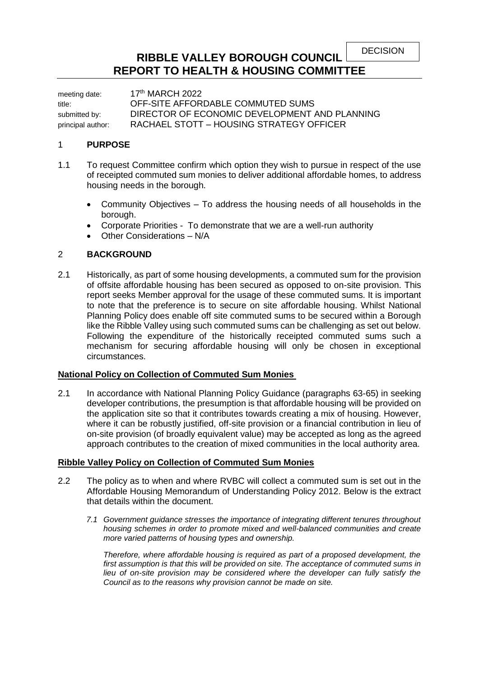DECISION

# **RIBBLE VALLEY BOROUGH COUNCIL REPORT TO HEALTH & HOUSING COMMITTEE**

meeting date: 17<sup>th</sup> MARCH 2022 title: OFF-SITE AFFORDABLE COMMUTED SUMS submitted by: DIRECTOR OF ECONOMIC DEVELOPMENT AND PLANNING principal author: RACHAEL STOTT – HOUSING STRATEGY OFFICER

#### 1 **PURPOSE**

- 1.1 To request Committee confirm which option they wish to pursue in respect of the use of receipted commuted sum monies to deliver additional affordable homes, to address housing needs in the borough.
	- Community Objectives To address the housing needs of all households in the borough.
	- Corporate Priorities To demonstrate that we are a well-run authority
	- Other Considerations N/A

# 2 **BACKGROUND**

2.1 Historically, as part of some housing developments, a commuted sum for the provision of offsite affordable housing has been secured as opposed to on-site provision. This report seeks Member approval for the usage of these commuted sums. It is important to note that the preference is to secure on site affordable housing. Whilst National Planning Policy does enable off site commuted sums to be secured within a Borough like the Ribble Valley using such commuted sums can be challenging as set out below. Following the expenditure of the historically receipted commuted sums such a mechanism for securing affordable housing will only be chosen in exceptional circumstances.

# **National Policy on Collection of Commuted Sum Monies**

2.1 In accordance with National Planning Policy Guidance (paragraphs 63-65) in seeking developer contributions, the presumption is that affordable housing will be provided on the application site so that it contributes towards creating a mix of housing. However, where it can be robustly justified, off-site provision or a financial contribution in lieu of on-site provision (of broadly equivalent value) may be accepted as long as the agreed approach contributes to the creation of mixed communities in the local authority area.

# **Ribble Valley Policy on Collection of Commuted Sum Monies**

- 2.2 The policy as to when and where RVBC will collect a commuted sum is set out in the Affordable Housing Memorandum of Understanding Policy 2012. Below is the extract that details within the document.
	- *7.1 Government guidance stresses the importance of integrating different tenures throughout housing schemes in order to promote mixed and well-balanced communities and create more varied patterns of housing types and ownership.*

*Therefore, where affordable housing is required as part of a proposed development, the*  first assumption is that this will be provided on site. The acceptance of commuted sums in lieu of on-site provision may be considered where the developer can fully satisfy the *Council as to the reasons why provision cannot be made on site.*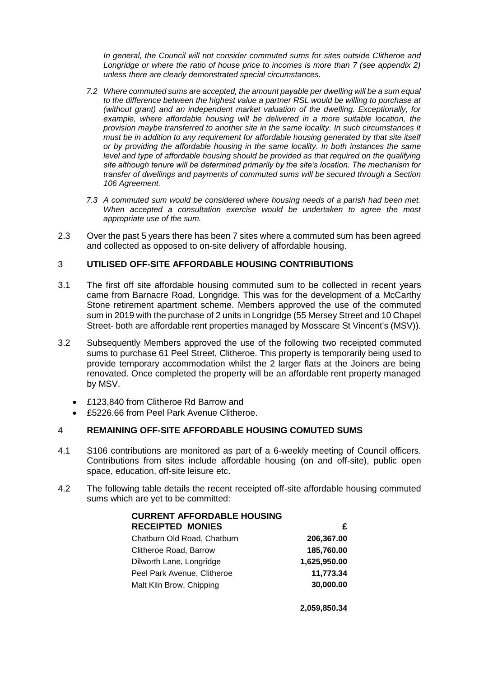*In general, the Council will not consider commuted sums for sites outside Clitheroe and Longridge or where the ratio of house price to incomes is more than 7 (see appendix 2) unless there are clearly demonstrated special circumstances.*

- *7.2 Where commuted sums are accepted, the amount payable per dwelling will be a sum equal to the difference between the highest value a partner RSL would be willing to purchase at (without grant) and an independent market valuation of the dwelling. Exceptionally, for*  example, where affordable housing will be delivered in a more suitable location, the *provision maybe transferred to another site in the same locality. In such circumstances it must be in addition to any requirement for affordable housing generated by that site itself or by providing the affordable housing in the same locality. In both instances the same level and type of affordable housing should be provided as that required on the qualifying site although tenure will be determined primarily by the site's location. The mechanism for transfer of dwellings and payments of commuted sums will be secured through a Section 106 Agreement.*
- *7.3 A commuted sum would be considered where housing needs of a parish had been met.*  When accepted a consultation exercise would be undertaken to agree the most *appropriate use of the sum.*
- 2.3 Over the past 5 years there has been 7 sites where a commuted sum has been agreed and collected as opposed to on-site delivery of affordable housing.

# 3 **UTILISED OFF-SITE AFFORDABLE HOUSING CONTRIBUTIONS**

- 3.1 The first off site affordable housing commuted sum to be collected in recent years came from Barnacre Road, Longridge. This was for the development of a McCarthy Stone retirement apartment scheme. Members approved the use of the commuted sum in 2019 with the purchase of 2 units in Longridge (55 Mersey Street and 10 Chapel Street- both are affordable rent properties managed by Mosscare St Vincent's (MSV)).
- 3.2 Subsequently Members approved the use of the following two receipted commuted sums to purchase 61 Peel Street, Clitheroe. This property is temporarily being used to provide temporary accommodation whilst the 2 larger flats at the Joiners are being renovated. Once completed the property will be an affordable rent property managed by MSV.
	- £123,840 from Clitheroe Rd Barrow and
	- £5226.66 from Peel Park Avenue Clitheroe.

# 4 **REMAINING OFF-SITE AFFORDABLE HOUSING COMUTED SUMS**

- 4.1 S106 contributions are monitored as part of a 6-weekly meeting of Council officers. Contributions from sites include affordable housing (on and off-site), public open space, education, off-site leisure etc.
- 4.2 The following table details the recent receipted off-site affordable housing commuted sums which are yet to be committed:

| <b>CURRENT AFFORDABLE HOUSING</b> |              |
|-----------------------------------|--------------|
| <b>RECEIPTED MONIES</b>           | £            |
| Chatburn Old Road, Chatburn       | 206,367.00   |
| Clitheroe Road, Barrow            | 185,760.00   |
| Dilworth Lane, Longridge          | 1,625,950.00 |
| Peel Park Avenue, Clitheroe       | 11,773.34    |
| Malt Kiln Brow, Chipping          | 30,000.00    |
|                                   |              |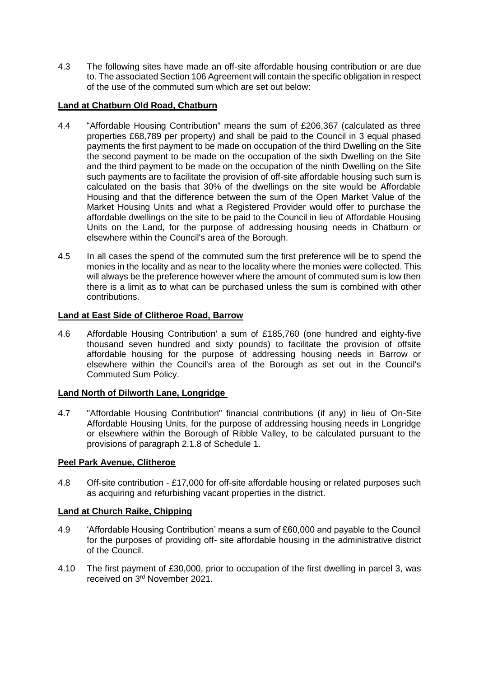4.3 The following sites have made an off-site affordable housing contribution or are due to. The associated Section 106 Agreement will contain the specific obligation in respect of the use of the commuted sum which are set out below:

# **Land at Chatburn Old Road, Chatburn**

- 4.4 "Affordable Housing Contribution" means the sum of £206,367 (calculated as three properties £68,789 per property) and shall be paid to the Council in 3 equal phased payments the first payment to be made on occupation of the third Dwelling on the Site the second payment to be made on the occupation of the sixth Dwelling on the Site and the third payment to be made on the occupation of the ninth Dwelling on the Site such payments are to facilitate the provision of off-site affordable housing such sum is calculated on the basis that 30% of the dwellings on the site would be Affordable Housing and that the difference between the sum of the Open Market Value of the Market Housing Units and what a Registered Provider would offer to purchase the affordable dwellings on the site to be paid to the Council in lieu of Affordable Housing Units on the Land, for the purpose of addressing housing needs in Chatburn or elsewhere within the Council's area of the Borough.
- 4.5 In all cases the spend of the commuted sum the first preference will be to spend the monies in the locality and as near to the locality where the monies were collected. This will always be the preference however where the amount of commuted sum is low then there is a limit as to what can be purchased unless the sum is combined with other contributions.

# **Land at East Side of Clitheroe Road, Barrow**

4.6 Affordable Housing Contribution' a sum of £185,760 (one hundred and eighty-five thousand seven hundred and sixty pounds) to facilitate the provision of offsite affordable housing for the purpose of addressing housing needs in Barrow or elsewhere within the Council's area of the Borough as set out in the Council's Commuted Sum Policy.

# **Land North of Dilworth Lane, Longridge**

4.7 "Affordable Housing Contribution" financial contributions (if any) in lieu of On-Site Affordable Housing Units, for the purpose of addressing housing needs in Longridge or elsewhere within the Borough of Ribble Valley, to be calculated pursuant to the provisions of paragraph 2.1.8 of Schedule 1.

# **Peel Park Avenue, Clitheroe**

4.8 Off-site contribution - £17,000 for off-site affordable housing or related purposes such as acquiring and refurbishing vacant properties in the district.

# **Land at Church Raike, Chipping**

- 4.9 'Affordable Housing Contribution' means a sum of £60,000 and payable to the Council for the purposes of providing off- site affordable housing in the administrative district of the Council.
- 4.10 The first payment of £30,000, prior to occupation of the first dwelling in parcel 3, was received on 3rd November 2021.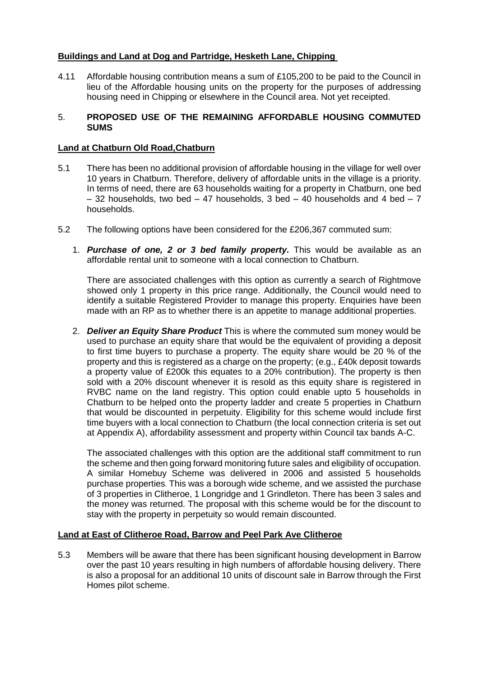# **Buildings and Land at Dog and Partridge, Hesketh Lane, Chipping**

4.11 Affordable housing contribution means a sum of £105,200 to be paid to the Council in lieu of the Affordable housing units on the property for the purposes of addressing housing need in Chipping or elsewhere in the Council area. Not yet receipted.

#### 5. **PROPOSED USE OF THE REMAINING AFFORDABLE HOUSING COMMUTED SUMS**

# **Land at Chatburn Old Road,Chatburn**

- 5.1 There has been no additional provision of affordable housing in the village for well over 10 years in Chatburn. Therefore, delivery of affordable units in the village is a priority. In terms of need, there are 63 households waiting for a property in Chatburn, one bed  $-$  32 households, two bed  $-$  47 households, 3 bed  $-$  40 households and 4 bed  $-$  7 households.
- 5.2 The following options have been considered for the £206,367 commuted sum:
	- 1. *Purchase of one, 2 or 3 bed family property.* This would be available as an affordable rental unit to someone with a local connection to Chatburn.

There are associated challenges with this option as currently a search of Rightmove showed only 1 property in this price range. Additionally, the Council would need to identify a suitable Registered Provider to manage this property. Enquiries have been made with an RP as to whether there is an appetite to manage additional properties.

2. *Deliver an Equity Share Product* This is where the commuted sum money would be used to purchase an equity share that would be the equivalent of providing a deposit to first time buyers to purchase a property. The equity share would be 20 % of the property and this is registered as a charge on the property; (e.g., £40k deposit towards a property value of £200k this equates to a 20% contribution). The property is then sold with a 20% discount whenever it is resold as this equity share is registered in RVBC name on the land registry. This option could enable upto 5 households in Chatburn to be helped onto the property ladder and create 5 properties in Chatburn that would be discounted in perpetuity. Eligibility for this scheme would include first time buyers with a local connection to Chatburn (the local connection criteria is set out at Appendix A), affordability assessment and property within Council tax bands A-C.

The associated challenges with this option are the additional staff commitment to run the scheme and then going forward monitoring future sales and eligibility of occupation. A similar Homebuy Scheme was delivered in 2006 and assisted 5 households purchase properties. This was a borough wide scheme, and we assisted the purchase of 3 properties in Clitheroe, 1 Longridge and 1 Grindleton. There has been 3 sales and the money was returned. The proposal with this scheme would be for the discount to stay with the property in perpetuity so would remain discounted.

# **Land at East of Clitheroe Road, Barrow and Peel Park Ave Clitheroe**

5.3 Members will be aware that there has been significant housing development in Barrow over the past 10 years resulting in high numbers of affordable housing delivery. There is also a proposal for an additional 10 units of discount sale in Barrow through the First Homes pilot scheme.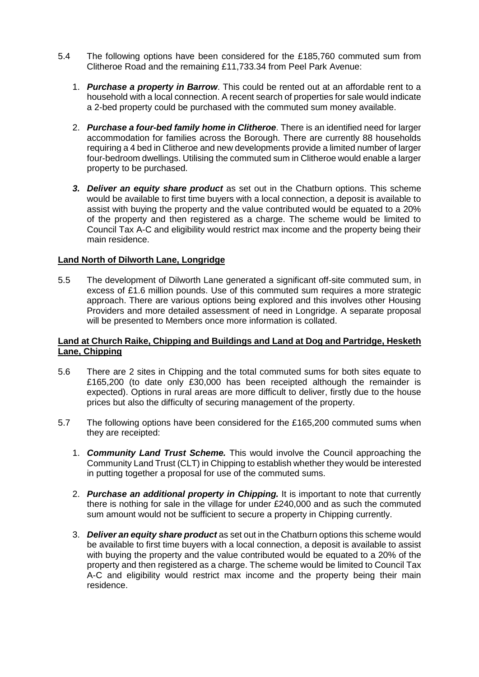- 5.4 The following options have been considered for the £185,760 commuted sum from Clitheroe Road and the remaining £11,733.34 from Peel Park Avenue:
	- 1. *Purchase a property in Barrow*. This could be rented out at an affordable rent to a household with a local connection. A recent search of properties for sale would indicate a 2-bed property could be purchased with the commuted sum money available.
	- 2. *Purchase a four-bed family home in Clitheroe*. There is an identified need for larger accommodation for families across the Borough. There are currently 88 households requiring a 4 bed in Clitheroe and new developments provide a limited number of larger four-bedroom dwellings. Utilising the commuted sum in Clitheroe would enable a larger property to be purchased.
	- *3. Deliver an equity share product* as set out in the Chatburn options. This scheme would be available to first time buyers with a local connection, a deposit is available to assist with buying the property and the value contributed would be equated to a 20% of the property and then registered as a charge. The scheme would be limited to Council Tax A-C and eligibility would restrict max income and the property being their main residence.

#### **Land North of Dilworth Lane, Longridge**

5.5 The development of Dilworth Lane generated a significant off-site commuted sum, in excess of £1.6 million pounds. Use of this commuted sum requires a more strategic approach. There are various options being explored and this involves other Housing Providers and more detailed assessment of need in Longridge. A separate proposal will be presented to Members once more information is collated.

#### **Land at Church Raike, Chipping and Buildings and Land at Dog and Partridge, Hesketh Lane, Chipping**

- 5.6 There are 2 sites in Chipping and the total commuted sums for both sites equate to £165,200 (to date only £30,000 has been receipted although the remainder is expected). Options in rural areas are more difficult to deliver, firstly due to the house prices but also the difficulty of securing management of the property.
- 5.7 The following options have been considered for the £165,200 commuted sums when they are receipted:
	- 1. *Community Land Trust Scheme.* This would involve the Council approaching the Community Land Trust (CLT) in Chipping to establish whether they would be interested in putting together a proposal for use of the commuted sums.
	- 2. *Purchase an additional property in Chipping.* It is important to note that currently there is nothing for sale in the village for under £240,000 and as such the commuted sum amount would not be sufficient to secure a property in Chipping currently.
	- 3. *Deliver an equity share product* as set out in the Chatburn options this scheme would be available to first time buyers with a local connection, a deposit is available to assist with buying the property and the value contributed would be equated to a 20% of the property and then registered as a charge. The scheme would be limited to Council Tax A-C and eligibility would restrict max income and the property being their main residence.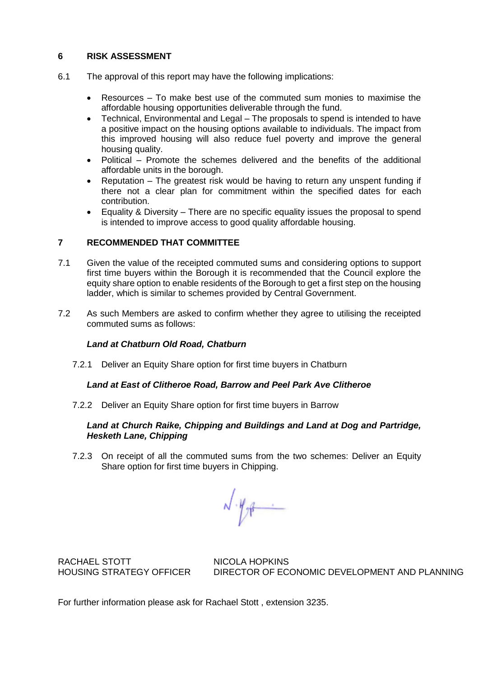# **6 RISK ASSESSMENT**

- 6.1 The approval of this report may have the following implications:
	- Resources To make best use of the commuted sum monies to maximise the affordable housing opportunities deliverable through the fund.
	- Technical, Environmental and Legal The proposals to spend is intended to have a positive impact on the housing options available to individuals. The impact from this improved housing will also reduce fuel poverty and improve the general housing quality.
	- Political Promote the schemes delivered and the benefits of the additional affordable units in the borough.
	- Reputation The greatest risk would be having to return any unspent funding if there not a clear plan for commitment within the specified dates for each contribution.
	- Equality & Diversity There are no specific equality issues the proposal to spend is intended to improve access to good quality affordable housing.

# **7 RECOMMENDED THAT COMMITTEE**

- 7.1 Given the value of the receipted commuted sums and considering options to support first time buyers within the Borough it is recommended that the Council explore the equity share option to enable residents of the Borough to get a first step on the housing ladder, which is similar to schemes provided by Central Government.
- 7.2 As such Members are asked to confirm whether they agree to utilising the receipted commuted sums as follows:

# *Land at Chatburn Old Road, Chatburn*

7.2.1 Deliver an Equity Share option for first time buyers in Chatburn

#### *Land at East of Clitheroe Road, Barrow and Peel Park Ave Clitheroe*

7.2.2 Deliver an Equity Share option for first time buyers in Barrow

# *Land at Church Raike, Chipping and Buildings and Land at Dog and Partridge, Hesketh Lane, Chipping*

7.2.3 On receipt of all the commuted sums from the two schemes: Deliver an Equity Share option for first time buyers in Chipping.

 $\sqrt{\psi_{\text{eff}}}$ 

RACHAEL STOTT NICOLA HOPKINS

HOUSING STRATEGY OFFICER DIRECTOR OF ECONOMIC DEVELOPMENT AND PLANNING

For further information please ask for Rachael Stott , extension 3235.